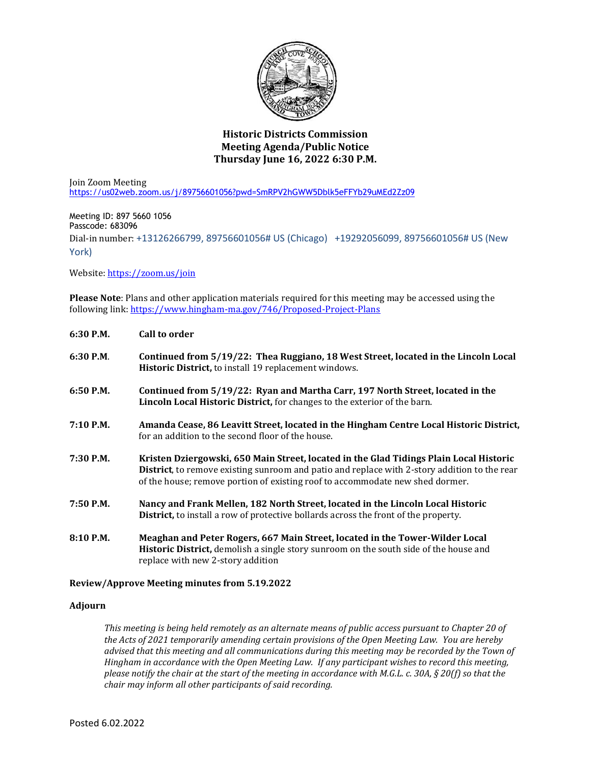

## **Historic Districts Commission Meeting Agenda/Public Notice Thursday June 16, 2022 6:30 P.M.**

Join Zoom Meeting <https://us02web.zoom.us/j/89756601056?pwd=SmRPV2hGWW5Dblk5eFFYb29uMEd2Zz09>

Meeting ID: 897 5660 1056 Passcode: 683096 Dial-in number: +13126266799, 89756601056# US (Chicago) +19292056099, 89756601056# US (New York)

Website[: https://zoom.us/join](https://zoom.us/join)

**Please Note**: Plans and other application materials required for this meeting may be accessed using the following link[: https://www.hingham-ma.gov/746/Proposed-Project-Plans](https://www.hingham-ma.gov/746/Proposed-Project-Plans)

| 6:30 P.M.   | <b>Call to order</b>                                                                                                                                                                                                                                                            |
|-------------|---------------------------------------------------------------------------------------------------------------------------------------------------------------------------------------------------------------------------------------------------------------------------------|
| 6:30 P.M.   | Continued from 5/19/22: Thea Ruggiano, 18 West Street, located in the Lincoln Local<br>Historic District, to install 19 replacement windows.                                                                                                                                    |
| 6:50 P.M.   | Continued from 5/19/22: Ryan and Martha Carr, 197 North Street, located in the<br>Lincoln Local Historic District, for changes to the exterior of the barn.                                                                                                                     |
| 7:10 P.M.   | Amanda Cease, 86 Leavitt Street, located in the Hingham Centre Local Historic District,<br>for an addition to the second floor of the house.                                                                                                                                    |
| 7:30 P.M.   | Kristen Dziergowski, 650 Main Street, located in the Glad Tidings Plain Local Historic<br><b>District</b> , to remove existing sunroom and patio and replace with 2-story addition to the rear<br>of the house; remove portion of existing roof to accommodate new shed dormer. |
| 7:50 P.M.   | Nancy and Frank Mellen, 182 North Street, located in the Lincoln Local Historic<br><b>District</b> , to install a row of protective bollards across the front of the property.                                                                                                  |
| $8:10$ P.M. | Meaghan and Peter Rogers, 667 Main Street, located in the Tower-Wilder Local<br><b>Historic District, demolish a single story sunroom on the south side of the house and</b><br>replace with new 2-story addition                                                               |

## **Review/Approve Meeting minutes from 5.19.2022**

## **Adjourn**

*This meeting is being held remotely as an alternate means of public access pursuant to Chapter 20 of the Acts of 2021 temporarily amending certain provisions of the Open Meeting Law. You are hereby advised that this meeting and all communications during this meeting may be recorded by the Town of Hingham in accordance with the Open Meeting Law. If any participant wishes to record this meeting, please notify the chair at the start of the meeting in accordance with M.G.L. c. 30A, § 20(f) so that the chair may inform all other participants of said recording.*